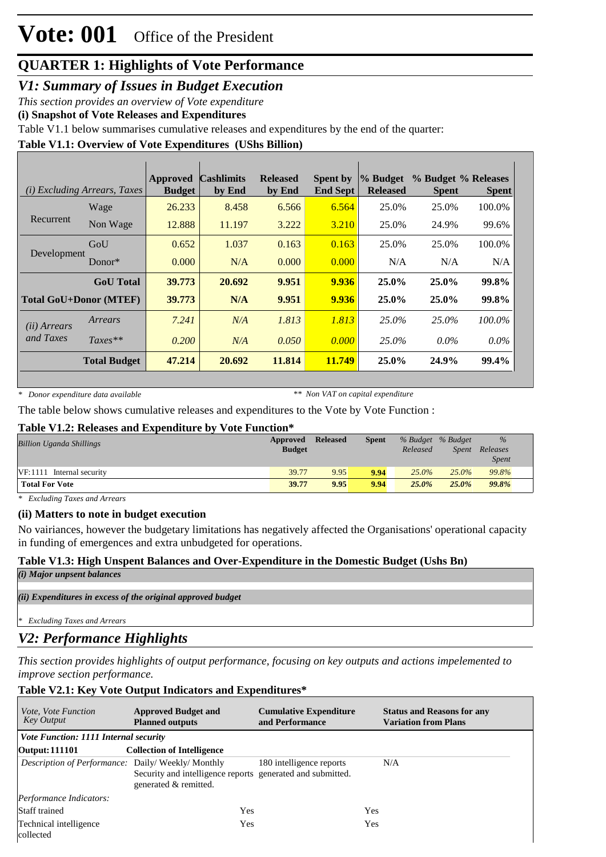## **QUARTER 1: Highlights of Vote Performance**

*V1: Summary of Issues in Budget Execution*

*This section provides an overview of Vote expenditure* 

**(i) Snapshot of Vote Releases and Expenditures**

Table V1.1 below summarises cumulative releases and expenditures by the end of the quarter:

## **Table V1.1: Overview of Vote Expenditures (UShs Billion)**

|                               | (i) Excluding Arrears, Taxes | <b>Approved</b><br><b>Budget</b> | <b>Cashlimits</b><br>by End | <b>Released</b><br>by End | <b>Spent by</b><br><b>End Sept</b> | $\%$ Budget<br><b>Released</b> | % Budget % Releases<br><b>Spent</b> | <b>Spent</b> |
|-------------------------------|------------------------------|----------------------------------|-----------------------------|---------------------------|------------------------------------|--------------------------------|-------------------------------------|--------------|
|                               | Wage                         | 26.233                           | 8.458                       | 6.566                     | 6.564                              | 25.0%                          | 25.0%                               | 100.0%       |
| Recurrent                     | Non Wage                     | 12.888                           | 11.197                      | 3.222                     | 3.210                              | 25.0%                          | 24.9%                               | 99.6%        |
|                               | GoU                          | 0.652                            | 1.037                       | 0.163                     | 0.163                              | 25.0%                          | 25.0%                               | 100.0%       |
| Development                   | Donor $*$                    | 0.000                            | N/A                         | 0.000                     | 0.000                              | N/A                            | N/A                                 | N/A          |
|                               | <b>GoU</b> Total             | 39.773                           | 20.692                      | 9.951                     | 9.936                              | $25.0\%$                       | 25.0%                               | 99.8%        |
| <b>Total GoU+Donor (MTEF)</b> |                              | 39.773                           | N/A                         | 9.951                     | 9.936                              | 25.0%                          | 25.0%                               | 99.8%        |
| ( <i>ii</i> ) Arrears         | Arrears                      | 7.241                            | N/A                         | 1.813                     | 1.813                              | 25.0%                          | 25.0%                               | 100.0%       |
| and Taxes                     | $Taxes**$                    | 0.200                            | N/A                         | 0.050                     | 0.000                              | 25.0%                          | $0.0\%$                             | $0.0\%$      |
|                               | <b>Total Budget</b>          | 47.214                           | 20.692                      | 11.814                    | 11.749                             | 25.0%                          | 24.9%                               | 99.4%        |

*\* Donor expenditure data available*

*\*\* Non VAT on capital expenditure*

The table below shows cumulative releases and expenditures to the Vote by Vote Function :

#### **Table V1.2: Releases and Expenditure by Vote Function\***

| <b>Billion Uganda Shillings</b> | Approved<br><b>Budget</b> | <b>Released</b> | <b>Spent</b> | Released | % Budget % Budget<br>Spent | $\frac{9}{6}$<br>Releases<br><i>Spent</i> |
|---------------------------------|---------------------------|-----------------|--------------|----------|----------------------------|-------------------------------------------|
| $VF:1111$ Internal security     | 39.77                     | 9.95            | 9.94         | $25.0\%$ | $25.0\%$                   | 99.8%                                     |
| <b>Total For Vote</b>           | 39.77                     | 9.95            | 9.94         | 25.0%    | $25.0\%$                   | <b>99.8%</b>                              |

*\* Excluding Taxes and Arrears*

## **(ii) Matters to note in budget execution**

No vairiances, however the budgetary limitations has negatively affected the Organisations' operational capacity in funding of emergences and extra unbudgeted for operations.

## **Table V1.3: High Unspent Balances and Over-Expenditure in the Domestic Budget (Ushs Bn)**

```
(i) Major unpsent balances
```
*(ii) Expenditures in excess of the original approved budget*

*\* Excluding Taxes and Arrears*

## *V2: Performance Highlights*

*This section provides highlights of output performance, focusing on key outputs and actions impelemented to improve section performance.*

## **Table V2.1: Key Vote Output Indicators and Expenditures\***

| <i>Vote, Vote Function</i><br>Key Output                | <b>Approved Budget and</b><br><b>Planned outputs</b>                                | <b>Cumulative Expenditure</b><br>and Performance | <b>Status and Reasons for any</b><br><b>Variation from Plans</b> |
|---------------------------------------------------------|-------------------------------------------------------------------------------------|--------------------------------------------------|------------------------------------------------------------------|
| Vote Function: 1111 Internal security                   |                                                                                     |                                                  |                                                                  |
| <b>Output: 111101</b>                                   | <b>Collection of Intelligence</b>                                                   |                                                  |                                                                  |
| <i>Description of Performance:</i> Daily/Weekly/Monthly | Security and intelligence reports generated and submitted.<br>generated & remitted. | 180 intelligence reports                         | N/A                                                              |
| Performance Indicators:                                 |                                                                                     |                                                  |                                                                  |
| <b>Staff trained</b>                                    | Yes                                                                                 |                                                  | Yes                                                              |
| Technical intelligence<br>collected                     | Yes                                                                                 |                                                  | Yes                                                              |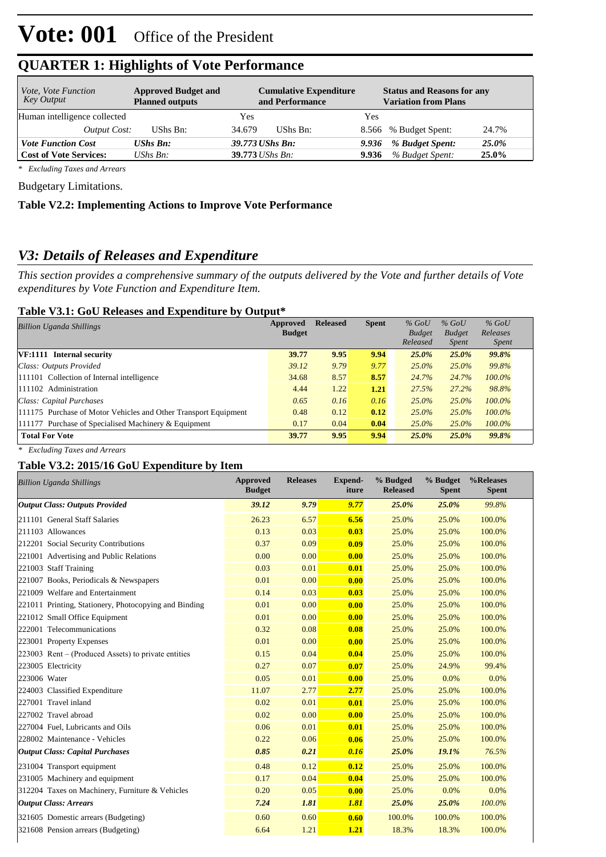| <i>Vote, Vote Function</i><br>Key Output | <b>Approved Budget and</b><br><b>Planned outputs</b> | <b>Cumulative Expenditure</b><br>and Performance | <b>Status and Reasons for any</b><br><b>Variation from Plans</b> |
|------------------------------------------|------------------------------------------------------|--------------------------------------------------|------------------------------------------------------------------|
| Human intelligence collected             |                                                      | Yes                                              | Yes                                                              |
| Output Cost:                             | UShs Bn:                                             | UShs Bn:<br>34.679                               | 8.566 % Budget Spent:<br>24.7%                                   |
| <b>Vote Function Cost</b>                | <b>UShs Bn:</b>                                      | 39.773 UShs Bn:                                  | % Budget Spent:<br>25.0%<br>9.936                                |
| <b>Cost of Vote Services:</b>            | $\mathit{UShs}\, \mathit{Bn}$ :                      | $39.773$ UShs Bn:                                | % Budget Spent:<br>25.0%<br>9.936                                |

## **QUARTER 1: Highlights of Vote Performance**

*\* Excluding Taxes and Arrears*

Budgetary Limitations.

## **Table V2.2: Implementing Actions to Improve Vote Performance**

## *V3: Details of Releases and Expenditure*

*This section provides a comprehensive summary of the outputs delivered by the Vote and further details of Vote expenditures by Vote Function and Expenditure Item.*

#### **Table V3.1: GoU Releases and Expenditure by Output\***

| <b>Billion Uganda Shillings</b>                                 | Approved      | <b>Released</b> | <b>Spent</b> | $%$ GoU       | $%$ GoU       | $%$ GoU      |  |
|-----------------------------------------------------------------|---------------|-----------------|--------------|---------------|---------------|--------------|--|
|                                                                 | <b>Budget</b> |                 |              | <b>Budget</b> | <b>Budget</b> | Releases     |  |
|                                                                 |               |                 |              | Released      | <i>Spent</i>  | <i>Spent</i> |  |
| VF:1111 Internal security                                       | 39.77         | 9.95            | 9.94         | 25.0%         | 25.0%         | 99.8%        |  |
| Class: Outputs Provided                                         | 39.12         | 9.79            | 9.77         | $25.0\%$      | 25.0%         | 99.8%        |  |
| 111101 Collection of Internal intelligence                      | 34.68         | 8.57            | 8.57         | 24.7%         | 24.7%         | 100.0%       |  |
| 111102 Administration                                           | 4.44          | 1.22            | 1.21         | 27.5%         | 27.2%         | 98.8%        |  |
| Class: Capital Purchases                                        | 0.65          | 0.16            | 0.16         | $25.0\%$      | 25.0%         | 100.0%       |  |
| 111175 Purchase of Motor Vehicles and Other Transport Equipment | 0.48          | 0.12            | 0.12         | $25.0\%$      | $25.0\%$      | $100.0\%$    |  |
| 111177 Purchase of Specialised Machinery & Equipment            | 0.17          | 0.04            | 0.04         | $25.0\%$      | $25.0\%$      | $100.0\%$    |  |
| <b>Total For Vote</b>                                           | 39.77         | 9.95            | 9.94         | 25.0%         | $25.0\%$      | 99.8%        |  |

*\* Excluding Taxes and Arrears*

#### **Table V3.2: 2015/16 GoU Expenditure by Item**

| <b>Billion Uganda Shillings</b>                       | <b>Approved</b><br><b>Budget</b> | <b>Releases</b> | <b>Expend-</b><br>iture | % Budged<br><b>Released</b> | % Budget<br><b>Spent</b> | %Releases<br><b>Spent</b> |
|-------------------------------------------------------|----------------------------------|-----------------|-------------------------|-----------------------------|--------------------------|---------------------------|
| <b>Output Class: Outputs Provided</b>                 | 39.12                            | 9.79            | 9.77                    | 25.0%                       | 25.0%                    | 99.8%                     |
| 211101 General Staff Salaries                         | 26.23                            | 6.57            | 6.56                    | 25.0%                       | 25.0%                    | 100.0%                    |
| 211103 Allowances                                     | 0.13                             | 0.03            | 0.03                    | 25.0%                       | 25.0%                    | 100.0%                    |
| 212201 Social Security Contributions                  | 0.37                             | 0.09            | 0.09                    | 25.0%                       | 25.0%                    | 100.0%                    |
| 221001 Advertising and Public Relations               | 0.00                             | 0.00            | 0.00                    | 25.0%                       | 25.0%                    | 100.0%                    |
| 221003 Staff Training                                 | 0.03                             | 0.01            | 0.01                    | 25.0%                       | 25.0%                    | 100.0%                    |
| 221007 Books, Periodicals & Newspapers                | 0.01                             | 0.00            | 0.00                    | 25.0%                       | 25.0%                    | 100.0%                    |
| 221009 Welfare and Entertainment                      | 0.14                             | 0.03            | 0.03                    | 25.0%                       | 25.0%                    | 100.0%                    |
| 221011 Printing, Stationery, Photocopying and Binding | 0.01                             | 0.00            | 0.00                    | 25.0%                       | 25.0%                    | 100.0%                    |
| 221012 Small Office Equipment                         | 0.01                             | 0.00            | 0.00                    | 25.0%                       | 25.0%                    | 100.0%                    |
| 222001 Telecommunications                             | 0.32                             | 0.08            | 0.08                    | 25.0%                       | 25.0%                    | 100.0%                    |
| 223001 Property Expenses                              | 0.01                             | 0.00            | 0.00                    | 25.0%                       | 25.0%                    | 100.0%                    |
| 223003 Rent – (Produced Assets) to private entities   | 0.15                             | 0.04            | 0.04                    | 25.0%                       | 25.0%                    | 100.0%                    |
| 223005 Electricity                                    | 0.27                             | 0.07            | 0.07                    | 25.0%                       | 24.9%                    | 99.4%                     |
| 223006 Water                                          | 0.05                             | 0.01            | 0.00                    | 25.0%                       | 0.0%                     | $0.0\%$                   |
| 224003 Classified Expenditure                         | 11.07                            | 2.77            | 2.77                    | 25.0%                       | 25.0%                    | 100.0%                    |
| 227001 Travel inland                                  | 0.02                             | 0.01            | 0.01                    | 25.0%                       | 25.0%                    | 100.0%                    |
| 227002 Travel abroad                                  | 0.02                             | 0.00            | 0.00                    | 25.0%                       | 25.0%                    | 100.0%                    |
| 227004 Fuel, Lubricants and Oils                      | 0.06                             | 0.01            | 0.01                    | 25.0%                       | 25.0%                    | 100.0%                    |
| 228002 Maintenance - Vehicles                         | 0.22                             | 0.06            | 0.06                    | 25.0%                       | 25.0%                    | 100.0%                    |
| <b>Output Class: Capital Purchases</b>                | 0.85                             | 0.21            | 0.16                    | 25.0%                       | 19.1%                    | 76.5%                     |
| 231004 Transport equipment                            | 0.48                             | 0.12            | 0.12                    | 25.0%                       | 25.0%                    | 100.0%                    |
| 231005 Machinery and equipment                        | 0.17                             | 0.04            | 0.04                    | 25.0%                       | 25.0%                    | 100.0%                    |
| 312204 Taxes on Machinery, Furniture & Vehicles       | 0.20                             | 0.05            | 0.00                    | 25.0%                       | 0.0%                     | 0.0%                      |
| <b>Output Class: Arrears</b>                          | 7.24                             | 1.81            | 1.81                    | 25.0%                       | 25.0%                    | 100.0%                    |
| 321605 Domestic arrears (Budgeting)                   | 0.60                             | 0.60            | 0.60                    | 100.0%                      | 100.0%                   | 100.0%                    |
| 321608 Pension arrears (Budgeting)                    | 6.64                             | 1.21            | 1.21                    | 18.3%                       | 18.3%                    | 100.0%                    |